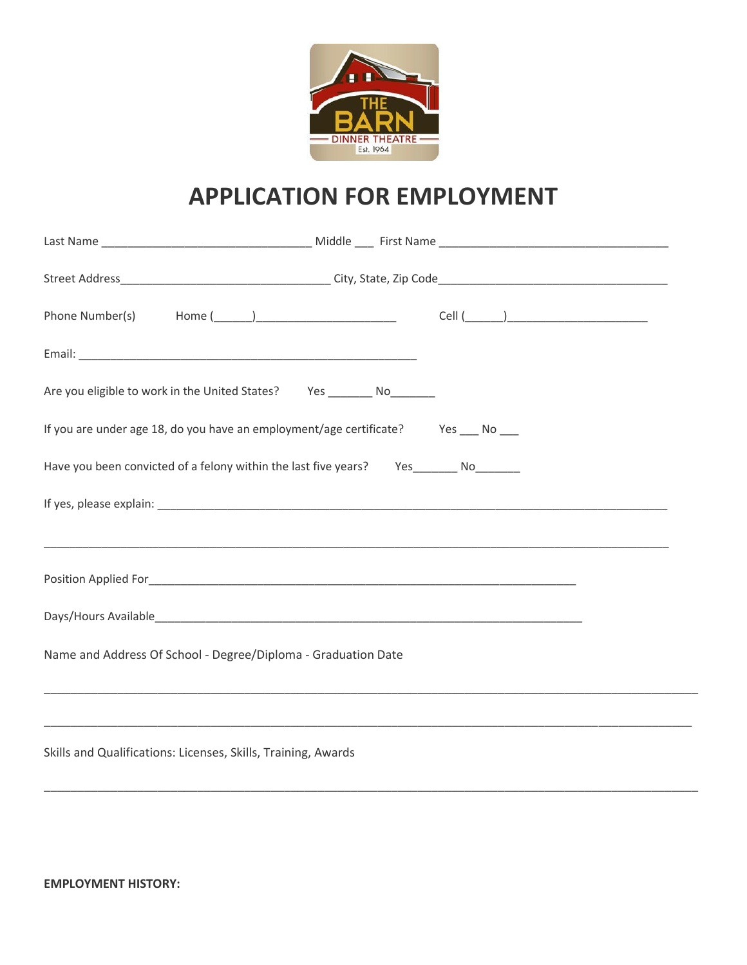

## **APPLICATION FOR EMPLOYMENT**

| Are you eligible to work in the United States? Yes ________ No_______                                                                                                                                                                |                                                                                  |  |  |
|--------------------------------------------------------------------------------------------------------------------------------------------------------------------------------------------------------------------------------------|----------------------------------------------------------------------------------|--|--|
| If you are under age 18, do you have an employment/age certificate? Yes ___ No __                                                                                                                                                    |                                                                                  |  |  |
| Have you been convicted of a felony within the last five years? Yes_______ No_______                                                                                                                                                 |                                                                                  |  |  |
|                                                                                                                                                                                                                                      |                                                                                  |  |  |
|                                                                                                                                                                                                                                      | ,我们也不能在这里的时候,我们也不能在这里的时候,我们也不能会在这里,我们也不能会在这里的时候,我们也不能会在这里的时候,我们也不能会在这里的时候,我们也不能会 |  |  |
| Position Applied For the contract of the contract of the contract of the contract of the contract of the contract of the contract of the contract of the contract of the contract of the contract of the contract of the contr       |                                                                                  |  |  |
| Days/Hours Available <b>Exercise Contract Contract Contract Contract Contract Contract Contract Contract Contract Contract Contract Contract Contract Contract Contract Contract Contract Contract Contract Contract Contract Co</b> |                                                                                  |  |  |
| Name and Address Of School - Degree/Diploma - Graduation Date                                                                                                                                                                        |                                                                                  |  |  |
|                                                                                                                                                                                                                                      | ,我们也不能会在这里,我们的人们就会不能会在这里,我们也不能会不能会不能会不能会不能会不能会不能会。""我们的人们就会不能会不能会不能会不能会不能会不能会不能会 |  |  |
| Skills and Qualifications: Licenses, Skills, Training, Awards                                                                                                                                                                        |                                                                                  |  |  |

\_\_\_\_\_\_\_\_\_\_\_\_\_\_\_\_\_\_\_\_\_\_\_\_\_\_\_\_\_\_\_\_\_\_\_\_\_\_\_\_\_\_\_\_\_\_\_\_\_\_\_\_\_\_\_\_\_\_\_\_\_\_\_\_\_\_\_\_\_\_\_\_\_\_\_\_\_\_\_\_\_\_\_\_\_\_\_\_\_\_\_\_\_\_\_\_\_\_

**EMPLOYMENT HISTORY:**